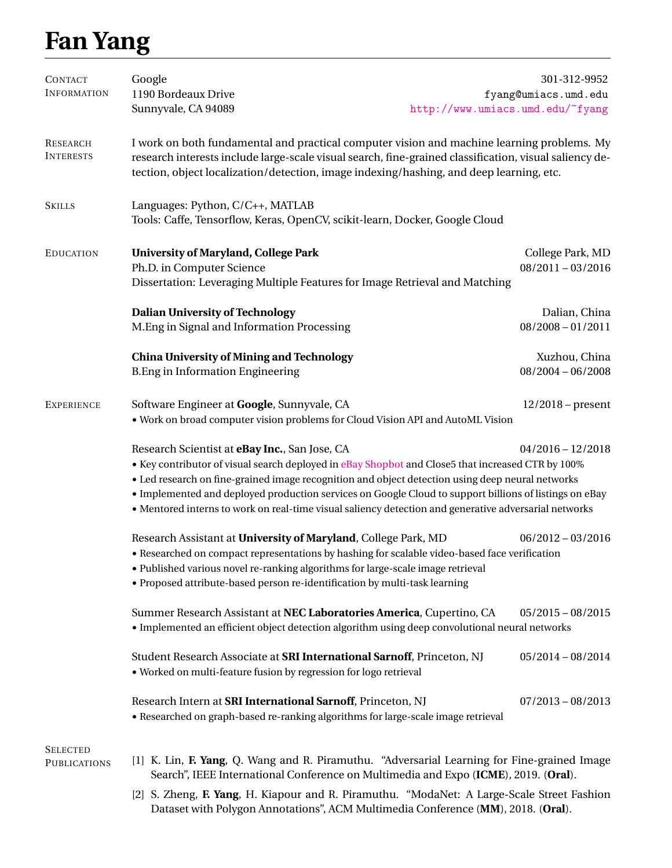## **Fan Yang**

| <b>CONTACT</b>                                                                                                                                                                                                                                                                                                                   | Google                                                                                                                                                                                                                                                                                                                                                                                                                                                                                           |                                  | 301-312-9952         |  |
|----------------------------------------------------------------------------------------------------------------------------------------------------------------------------------------------------------------------------------------------------------------------------------------------------------------------------------|--------------------------------------------------------------------------------------------------------------------------------------------------------------------------------------------------------------------------------------------------------------------------------------------------------------------------------------------------------------------------------------------------------------------------------------------------------------------------------------------------|----------------------------------|----------------------|--|
| <b>INFORMATION</b>                                                                                                                                                                                                                                                                                                               | 1190 Bordeaux Drive                                                                                                                                                                                                                                                                                                                                                                                                                                                                              |                                  | fyang@umiacs.umd.edu |  |
|                                                                                                                                                                                                                                                                                                                                  | Sunnyvale, CA 94089                                                                                                                                                                                                                                                                                                                                                                                                                                                                              | http://www.umiacs.umd.edu/~fyang |                      |  |
| RESEARCH<br><b>INTERESTS</b>                                                                                                                                                                                                                                                                                                     | I work on both fundamental and practical computer vision and machine learning problems. My<br>research interests include large-scale visual search, fine-grained classification, visual saliency de-<br>tection, object localization/detection, image indexing/hashing, and deep learning, etc.                                                                                                                                                                                                  |                                  |                      |  |
| <b>SKILLS</b>                                                                                                                                                                                                                                                                                                                    | Languages: Python, C/C++, MATLAB<br>Tools: Caffe, Tensorflow, Keras, OpenCV, scikit-learn, Docker, Google Cloud                                                                                                                                                                                                                                                                                                                                                                                  |                                  |                      |  |
| <b>EDUCATION</b>                                                                                                                                                                                                                                                                                                                 | <b>University of Maryland, College Park</b>                                                                                                                                                                                                                                                                                                                                                                                                                                                      |                                  | College Park, MD     |  |
|                                                                                                                                                                                                                                                                                                                                  | Ph.D. in Computer Science                                                                                                                                                                                                                                                                                                                                                                                                                                                                        |                                  | $08/2011 - 03/2016$  |  |
|                                                                                                                                                                                                                                                                                                                                  | Dissertation: Leveraging Multiple Features for Image Retrieval and Matching                                                                                                                                                                                                                                                                                                                                                                                                                      |                                  |                      |  |
|                                                                                                                                                                                                                                                                                                                                  | <b>Dalian University of Technology</b>                                                                                                                                                                                                                                                                                                                                                                                                                                                           |                                  | Dalian, China        |  |
|                                                                                                                                                                                                                                                                                                                                  | M.Eng in Signal and Information Processing                                                                                                                                                                                                                                                                                                                                                                                                                                                       |                                  | $08/2008 - 01/2011$  |  |
|                                                                                                                                                                                                                                                                                                                                  | <b>China University of Mining and Technology</b>                                                                                                                                                                                                                                                                                                                                                                                                                                                 |                                  | Xuzhou, China        |  |
|                                                                                                                                                                                                                                                                                                                                  | <b>B.Eng in Information Engineering</b>                                                                                                                                                                                                                                                                                                                                                                                                                                                          |                                  | $08/2004 - 06/2008$  |  |
| <b>EXPERIENCE</b>                                                                                                                                                                                                                                                                                                                | Software Engineer at Google, Sunnyvale, CA                                                                                                                                                                                                                                                                                                                                                                                                                                                       |                                  | $12/2018$ – present  |  |
|                                                                                                                                                                                                                                                                                                                                  | . Work on broad computer vision problems for Cloud Vision API and AutoML Vision                                                                                                                                                                                                                                                                                                                                                                                                                  |                                  |                      |  |
|                                                                                                                                                                                                                                                                                                                                  | Research Scientist at eBay Inc., San Jose, CA<br>$04/2016 - 12/2018$<br>• Key contributor of visual search deployed in eBay Shopbot and Close5 that increased CTR by 100%<br>• Led research on fine-grained image recognition and object detection using deep neural networks<br>· Implemented and deployed production services on Google Cloud to support billions of listings on eBay<br>• Mentored interns to work on real-time visual saliency detection and generative adversarial networks |                                  |                      |  |
| Research Assistant at University of Maryland, College Park, MD<br>• Researched on compact representations by hashing for scalable video-based face verification<br>• Published various novel re-ranking algorithms for large-scale image retrieval<br>• Proposed attribute-based person re-identification by multi-task learning |                                                                                                                                                                                                                                                                                                                                                                                                                                                                                                  |                                  | $06/2012 - 03/2016$  |  |
|                                                                                                                                                                                                                                                                                                                                  | Summer Research Assistant at NEC Laboratories America, Cupertino, CA<br>$05/2015 - 08/2015$<br>· Implemented an efficient object detection algorithm using deep convolutional neural networks                                                                                                                                                                                                                                                                                                    |                                  |                      |  |
|                                                                                                                                                                                                                                                                                                                                  | Student Research Associate at SRI International Sarnoff, Princeton, NJ<br>· Worked on multi-feature fusion by regression for logo retrieval                                                                                                                                                                                                                                                                                                                                                      |                                  | $05/2014 - 08/2014$  |  |
|                                                                                                                                                                                                                                                                                                                                  | Research Intern at SRI International Sarnoff, Princeton, NJ<br>• Researched on graph-based re-ranking algorithms for large-scale image retrieval                                                                                                                                                                                                                                                                                                                                                 |                                  | $07/2013 - 08/2013$  |  |
| <b>SELECTED</b><br><b>PUBLICATIONS</b>                                                                                                                                                                                                                                                                                           | [1] K. Lin, F. Yang, Q. Wang and R. Piramuthu. "Adversarial Learning for Fine-grained Image<br>Search", IEEE International Conference on Multimedia and Expo (ICME), 2019. (Oral).                                                                                                                                                                                                                                                                                                               |                                  |                      |  |
| [2] S. Zheng, F. Yang, H. Kiapour and R. Piramuthu. "ModaNet: A Large-Scale Street Fashion                                                                                                                                                                                                                                       |                                                                                                                                                                                                                                                                                                                                                                                                                                                                                                  |                                  |                      |  |

Dataset with Polygon Annotations", ACM Multimedia Conference (**MM**), 2018. (**Oral**).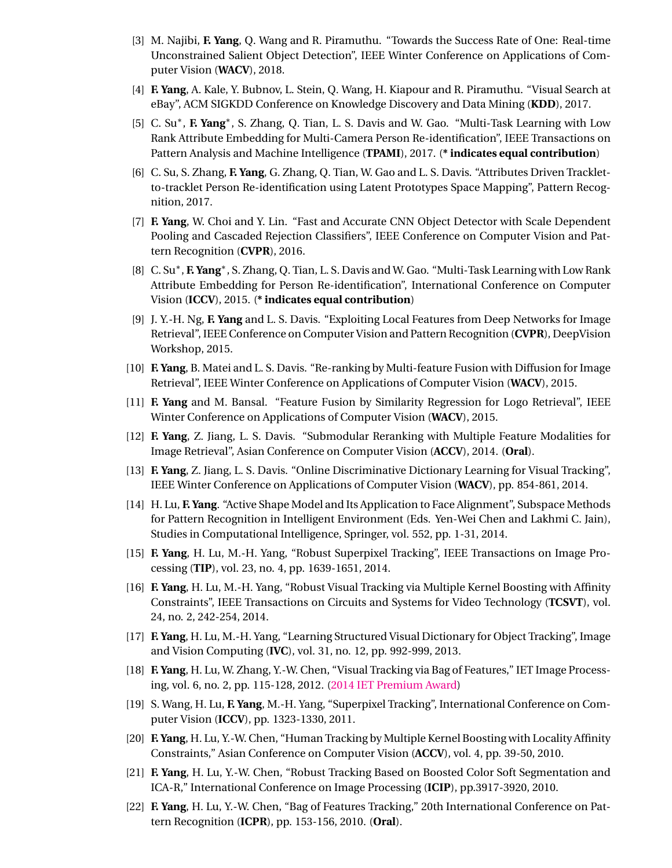- [3] M. Najibi, **F. Yang**, Q. Wang and R. Piramuthu. "Towards the Success Rate of One: Real-time Unconstrained Salient Object Detection", IEEE Winter Conference on Applications of Computer Vision (**WACV**), 2018.
- [4] **F. Yang**, A. Kale, Y. Bubnov, L. Stein, Q. Wang, H. Kiapour and R. Piramuthu. "Visual Search at eBay", ACM SIGKDD Conference on Knowledge Discovery and Data Mining (**KDD**), 2017.
- [5] C. Su<sup>\*</sup>, **F. Yang**<sup>\*</sup>, S. Zhang, Q. Tian, L. S. Davis and W. Gao. "Multi-Task Learning with Low Rank Attribute Embedding for Multi-Camera Person Re-identification", IEEE Transactions on Pattern Analysis and Machine Intelligence (**TPAMI**), 2017. (**\* indicates equal contribution**)
- [6] C. Su, S. Zhang, **F. Yang**, G. Zhang, Q. Tian, W. Gao and L. S. Davis. "Attributes Driven Trackletto-tracklet Person Re-identification using Latent Prototypes Space Mapping", Pattern Recognition, 2017.
- [7] **F. Yang**, W. Choi and Y. Lin. "Fast and Accurate CNN Object Detector with Scale Dependent Pooling and Cascaded Rejection Classifiers", IEEE Conference on Computer Vision and Pattern Recognition (**CVPR**), 2016.
- [8] C. Su<sup>\*</sup>, **F. Yang**<sup>\*</sup>, S. Zhang, Q. Tian, L. S. Davis and W. Gao. "Multi-Task Learning with Low Rank Attribute Embedding for Person Re-identification", International Conference on Computer Vision (**ICCV**), 2015. (**\* indicates equal contribution**)
- [9] J. Y.-H. Ng, **F. Yang** and L. S. Davis. "Exploiting Local Features from Deep Networks for Image Retrieval", IEEE Conference on Computer Vision and Pattern Recognition (**CVPR**), DeepVision Workshop, 2015.
- [10] **F. Yang**, B. Matei and L. S. Davis. "Re-ranking by Multi-feature Fusion with Diffusion for Image Retrieval", IEEE Winter Conference on Applications of Computer Vision (**WACV**), 2015.
- [11] **F. Yang** and M. Bansal. "Feature Fusion by Similarity Regression for Logo Retrieval", IEEE Winter Conference on Applications of Computer Vision (**WACV**), 2015.
- [12] **F. Yang**, Z. Jiang, L. S. Davis. "Submodular Reranking with Multiple Feature Modalities for Image Retrieval", Asian Conference on Computer Vision (**ACCV**), 2014. (**Oral**).
- [13] **F. Yang**, Z. Jiang, L. S. Davis. "Online Discriminative Dictionary Learning for Visual Tracking", IEEE Winter Conference on Applications of Computer Vision (**WACV**), pp. 854-861, 2014.
- [14] H. Lu, **F. Yang**. "Active Shape Model and Its Application to Face Alignment", Subspace Methods for Pattern Recognition in Intelligent Environment (Eds. Yen-Wei Chen and Lakhmi C. Jain), Studies in Computational Intelligence, Springer, vol. 552, pp. 1-31, 2014.
- [15] **F. Yang**, H. Lu, M.-H. Yang, "Robust Superpixel Tracking", IEEE Transactions on Image Processing (**TIP**), vol. 23, no. 4, pp. 1639-1651, 2014.
- [16] **F. Yang**, H. Lu, M.-H. Yang, "Robust Visual Tracking via Multiple Kernel Boosting with Affinity Constraints", IEEE Transactions on Circuits and Systems for Video Technology (**TCSVT**), vol. 24, no. 2, 242-254, 2014.
- [17] **F. Yang**, H. Lu, M.-H. Yang, "Learning Structured Visual Dictionary for Object Tracking", Image and Vision Computing (**IVC**), vol. 31, no. 12, pp. 992-999, 2013.
- [18] **F. Yang**, H. Lu, W. Zhang, Y.-W. Chen, "Visual Tracking via Bag of Features," IET Image Processing, vol. 6, no. 2, pp. 115-128, 2012. [\(2014 IET Premium Award\)](http://digital-library.theiet.org/journals/premium-awards#2014)
- [19] S. Wang, H. Lu, **F. Yang**, M.-H. Yang, "Superpixel Tracking", International Conference on Computer Vision (**ICCV**), pp. 1323-1330, 2011.
- [20] **F. Yang**, H. Lu, Y.-W. Chen, "Human Tracking by Multiple Kernel Boosting with Locality Affinity Constraints," Asian Conference on Computer Vision (**ACCV**), vol. 4, pp. 39-50, 2010.
- [21] **F. Yang**, H. Lu, Y.-W. Chen, "Robust Tracking Based on Boosted Color Soft Segmentation and ICA-R," International Conference on Image Processing (**ICIP**), pp.3917-3920, 2010.
- [22] **F. Yang**, H. Lu, Y.-W. Chen, "Bag of Features Tracking," 20th International Conference on Pattern Recognition (**ICPR**), pp. 153-156, 2010. (**Oral**).